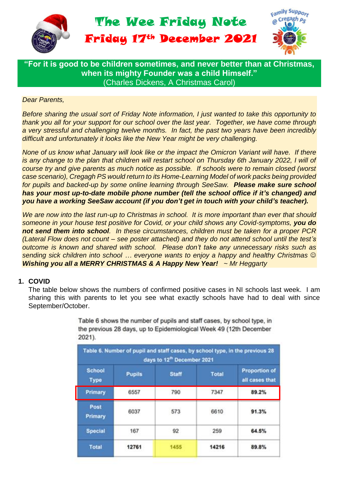

**"For it is good to be children sometimes, and never better than at Christmas, when its mighty Founder was a child Himself."** (Charles Dickens, [A Christmas Carol\)](https://www.goodreads.com/work/quotes/3097440)

## *Dear Parents,*

*Before sharing the usual sort of Friday Note information, I just wanted to take this opportunity to thank you all for your support for our school over the last year. Together, we have come through a very stressful and challenging twelve months. In fact, the past two years have been incredibly difficult and unfortunately it looks like the New Year might be very challenging.*

*None of us know what January will look like or the impact the Omicron Variant will have. If there is any change to the plan that children will restart school on Thursday 6th January 2022, I will of course try and give parents as much notice as possible. If schools were to remain closed (worst case scenario), Cregagh PS would return to its Home-Learning Model of work packs being provided for pupils and backed-up by some online learning through SeeSaw. Please make sure school has your most up-to-date mobile phone number (tell the school office if it's changed) and you have a working SeeSaw account (if you don't get in touch with your child's teacher).*

*We are now into the last run-up to Christmas in school. It is more important than ever that should someone in your house test positive for Covid, or your child shows any Covid-symptoms, you do not send them into school. In these circumstances, children must be taken for a proper PCR (Lateral Flow does not count – see poster attached) and they do not attend school until the test's outcome is known and shared with school. Please don't take any unnecessary risks such as sending sick children into school … everyone wants to enjoy a happy and healthy Christmas Wishing you all a MERRY CHRISTMAS & A Happy New Year! ~ Mr Heggarty*

### **1. COVID**

The table below shows the numbers of confirmed positive cases in NI schools last week. I am sharing this with parents to let you see what exactly schools have had to deal with since September/October.

|                              |               | days to 12 <sup>th</sup> December 2021 |              |                                        |
|------------------------------|---------------|----------------------------------------|--------------|----------------------------------------|
| <b>School</b><br><b>Type</b> | <b>Pupils</b> | <b>Staff</b>                           | <b>Total</b> | <b>Proportion of</b><br>all cases that |
| <b>Primary</b>               | 6557          | 790                                    | 7347         | 89.2%                                  |
| Post<br>Primary              | 6037          | 573                                    | 6610         | 91.3%                                  |
| <b>Special</b>               | 167           | 92                                     | 259          | 64.5%                                  |
| <b>Total</b>                 | 12761         | 1455                                   | 14216        | 89.8%                                  |

Table 6 shows the number of pupils and staff cases, by school type, in the previous 28 days, up to Epidemiological Week 49 (12th December  $2021$ ).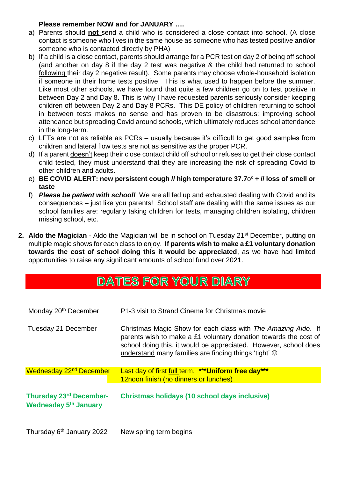# **Please remember NOW and for JANUARY ….**

- a) Parents should **not** send a child who is considered a close contact into school. (A close contact is someone who lives in the same house as someone who has tested positive **and/or** someone who is contacted directly by PHA)
- b) If a child is a close contact, parents should arrange for a PCR test on day 2 of being off school (and another on day 8 if the day 2 test was negative & the child had returned to school following their day 2 negative result). Some parents may choose whole-household isolation if someone in their home tests positive. This is what used to happen before the summer. Like most other schools, we have found that quite a few children go on to test positive in between Day 2 and Day 8. This is why I have requested parents seriously consider keeping children off between Day 2 and Day 8 PCRs. This DE policy of children returning to school in between tests makes no sense and has proven to be disastrous: improving school attendance but spreading Covid around schools, which ultimately reduces school attendance in the long-term.
- c) LFTs are not as reliable as PCRs usually because it's difficult to get good samples from children and lateral flow tests are not as sensitive as the proper PCR.
- d) If a parent doesn't keep their close contact child off school or refuses to get their close contact child tested, they must understand that they are increasing the risk of spreading Covid to other children and adults.
- e) **BE COVID ALERT: new persistent cough // high temperature 37.7**o <sup>c</sup> **+ // loss of smell or taste**
- f) *Please be patient with school!* We are all fed up and exhausted dealing with Covid and its consequences – just like you parents! School staff are dealing with the same issues as our school families are: regularly taking children for tests, managing children isolating, children missing school, etc.
- **2. Aldo the Magician** Aldo the Magician will be in school on Tuesday 21<sup>st</sup> December, putting on multiple magic shows for each class to enjoy. **If parents wish to make a £1 voluntary donation towards the cost of school doing this it would be appreciated**, as we have had limited opportunities to raise any significant amounts of school fund over 2021.

# DATES FOR YOUR DIARY

| Monday 20 <sup>th</sup> December                        | P1-3 visit to Strand Cinema for Christmas movie                                                                                                                                                                                                                      |  |  |
|---------------------------------------------------------|----------------------------------------------------------------------------------------------------------------------------------------------------------------------------------------------------------------------------------------------------------------------|--|--|
| Tuesday 21 December                                     | Christmas Magic Show for each class with The Amazing Aldo. If<br>parents wish to make a £1 voluntary donation towards the cost of<br>school doing this, it would be appreciated. However, school does<br>understand many families are finding things 'tight' $\odot$ |  |  |
| Wednesday 22 <sup>nd</sup> December                     | Last day of first full term. *** Uniform free day***                                                                                                                                                                                                                 |  |  |
| Thursday 23rd December-<br><b>Wednesday 5th January</b> | 12noon finish (no dinners or lunches)<br>Christmas holidays (10 school days inclusive)                                                                                                                                                                               |  |  |
| Thursday 6 <sup>th</sup> January 2022                   | New spring term begins                                                                                                                                                                                                                                               |  |  |